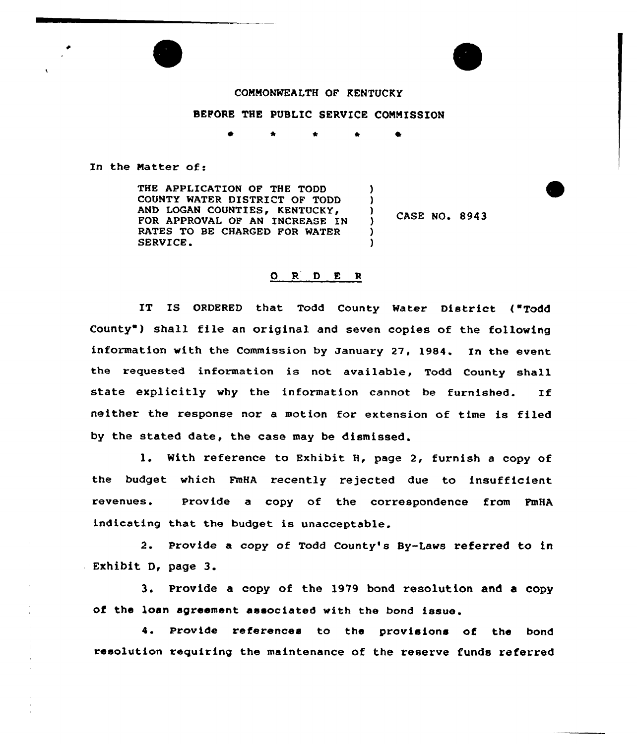

## BEFORE THE PUBLIC SERVICE COMMISSION

In the Matter of:

THE APPLICATION OF THE TODD COUNTY WATER DISTRICT OF TODD AND LOGAN COUNTIES, KENTUCKY, FOR APPROVAL OF AN INCREASE IN RATES TO BE CHARGED FOR MATER SERVICE. )  $\left\{ \right\}$ )

 $\frac{7}{2}$  CASE NO. 8943

## 0 <sup>R</sup> <sup>D</sup> E <sup>R</sup>

)

IT IS ORDERED that Todd County Water District ("Todd County ) shall file an original and seven copies of the following information with the Commission by January 27, 1984. In the event the requested information is not available, Todd County shall state explicitly why the information cannot be furnished. If neither the response nor a motion for extension of time is filed by the stated date, the case may be dismissed.

1. With reference to Exhibit H, page 2, furnish a copy of the budget which FmHA recently rejected due to insufficient revenues. Provide a copy of the correspondence from FmHA indicating that the budget is unacceptable.

2. Provide a copy of Todd County's By-Laws referred to in Exhibit D, page 3.

3. Provide a copy of the 1979 bond resolution and a copy of the loan agreement associated with the bond issue.

4. Provide references to the provisions of the bond resolution requiring the maintenance of the reserve funds referred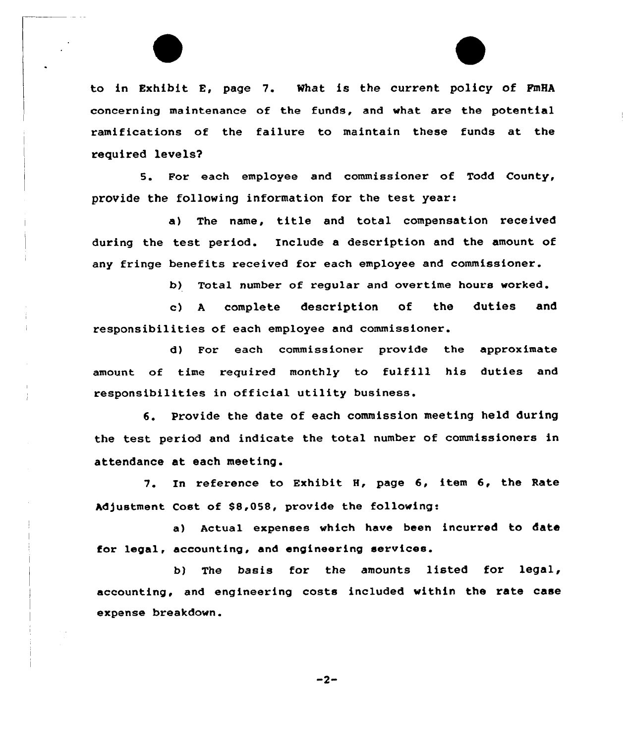to in Exhibit E, page 7. What is the current policy of FmHA concerning maintenance of the funds, and what are the potential ramifications of the failure to maintain these funds at the required levels'.

For each employee and commissioner of Todd County, provide the following information for the test years

a) The name, title and total compensation received during the test period. Include a description and the amount of any fringe benefits received for each employee and commissioner.

b) Total number of regular and overtime hours worked.

c) <sup>A</sup> complete description of the duties and responsibilities of each employee and commissioner.

d) For each commissioner provide the approximate amount of time required monthly to fulfill his duties and responsibilities in official utility business.

6. Provide the date of each commission meeting held during the test period and indicate the total number of commissioners in attendance at each meeting.

7. In reference to Exhibit H, page 6, item 6, the Rate Adjustment Cost of \$8,058, provide the following:

a) Actual expenses which have been incurred to date for legal, accounting, and engineering services.

b) The basis for the amounts listed for legal, accounting, and engineering costs included within the rate case expense breakdown.

 $-2-$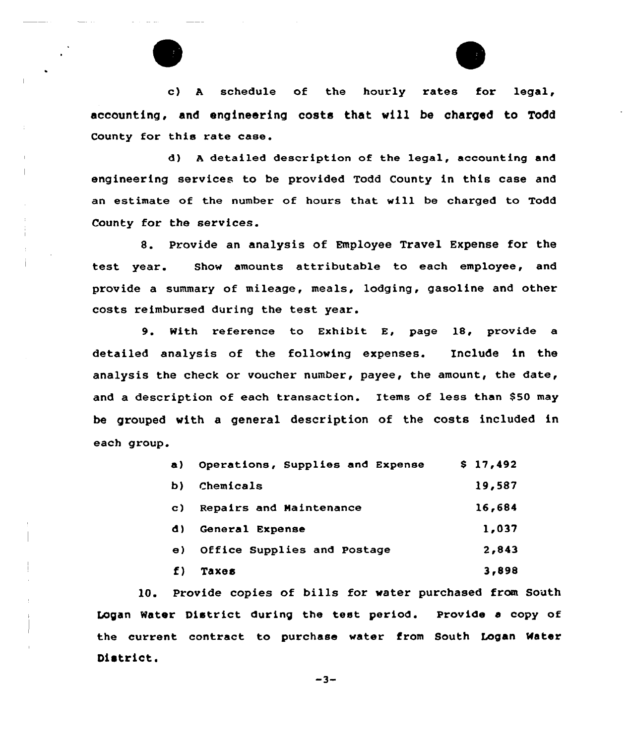

c) A schedule of the hourly rates for legal, accounting, and engineering costs that vil1 be charged to Todd County for this rate case.

d) <sup>A</sup> detailed description of the legal, accounting and engineering services to be provided Todd County in this case and an estimate of the number of hours that will be charged to Todd County for the services.

8. Provide an analysis of Employee Travel Expense for the test year. Show amounts attributable to each employee, and provide a summary of mileage, meals, lodging, gasoline and other costs reimbursed during the test year.

9. With reference to Exhibit E, page 18, provide <sup>a</sup> detailed analysis of the following expenses. Include in the analysis the check or voucher number, payee, the amount, the date, and a description of each transaction. Items of less than \$50 may be grouped with a general description of the costs included in each group.

| a)  | Operations, Supplies and Expense | \$17,492 |
|-----|----------------------------------|----------|
| b)  | Chemicals                        | 19,587   |
| C)  | Repairs and Maintenance          | 16,684   |
| d). | General Expense                  | 1,037    |
| e)  | Office Supplies and Postage      | 2,843    |
| f)  | <b>Taxes</b>                     | 3,898    |

10. Provide copies of bills for water purchased from South Logan Water District during the test period. Provide a copy of the current contract to purchase water from South Logan Mater District.

 $-3-$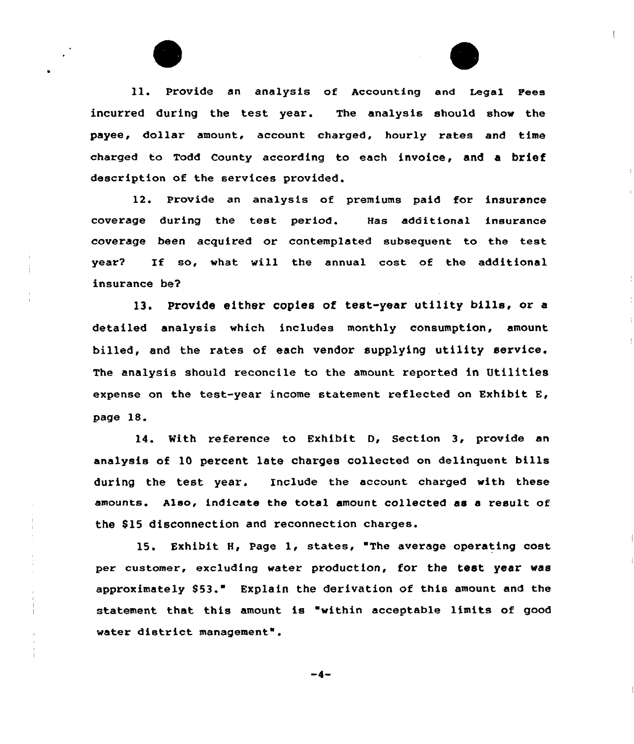ll. Provide an analysis of Accounting and Legal Fees incurred during the test year. The analysis should show the payee, dollar amount, account charged, hourly rates and time charged to Todd county according to each invoice, and a brief description of the services provided.

12. Provide an analysis of premiums paid for insurance coverage during the test period. Has additional insurance coverage been acquired or contemplated subsequent to the test year7 If so, what will the annual cost of the additional insurance be?

13. provide either copies of test-year utility bills, or <sup>a</sup> detailed analysis which includes monthly consumption, amount billed, and the rates of each vendor supplying utility service. The analysis should reconcile to the amount reported in Utilities expense on the test-year income statement reflected on Exhibit E, page 18.

14. Kith reference to Exhibit D, Section 3, provide an analysis of 10 percent late charges collected on delinquent bills during the test year. Include the account charged with these amounts. Also, indicate the total amount collected as a result of the \$15 disconnection and reconnection charges.

15. Exhibit 8, Page 1, states, "The average operating cost per customer, excluding water production, for the test year was approximately 853." Explain the derivation of this amount and the statement that this amount is "within acceptable limits of good water district management".

-4-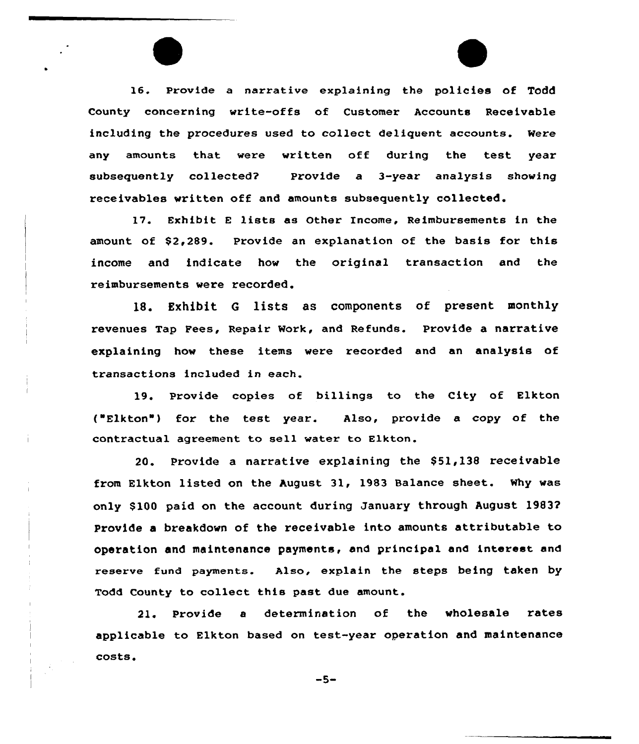16. Provide a narrative explaining the policies of Todd County concerning write-offs of Customer Accounts Receivable including the procedures used to collect deliquent accounts. Were any amounts that were written off during the test year subsequently collected? Provide a 3-year analysis showing receivables written off and amounts subsequently collected.

l7. Exhibit <sup>E</sup> lists as Other income, Reimbursements in the amount of \$2,289. Provide an explanation of the basis for this income and indicate how the original transaction and the reimbursements vere recorded.

18. Exhibit <sup>G</sup> lists as components of present monthly revenues Tap Fees, Repair Work, and Refunds. Provide a narrative explaining hov these items were recorded and an analysis of transactions included in each.

19. Provide copies of billings to the City of Elkton ("Elkton") for the test year. Also, provide a copy of the contractual agreement to sell water to Elkton.

20. Provide a narrative explaining the  $$51,138$  receivable from Elkton listed on the August 3l, 1983 Balance sheet. why vas only \$ 100 paid on the account during January through August 19837 Provide a breakdown of the receivable into amounts attributable to operation and maintenance payments, and principal and interest and reserve fund payments. Also, explain the steps being taken by Todd County to collect this past due amount.

21. Provide <sup>a</sup> determination of the vholesale rates applicable to Elkton based on test-year operation and maintenance costs.

 $-5-$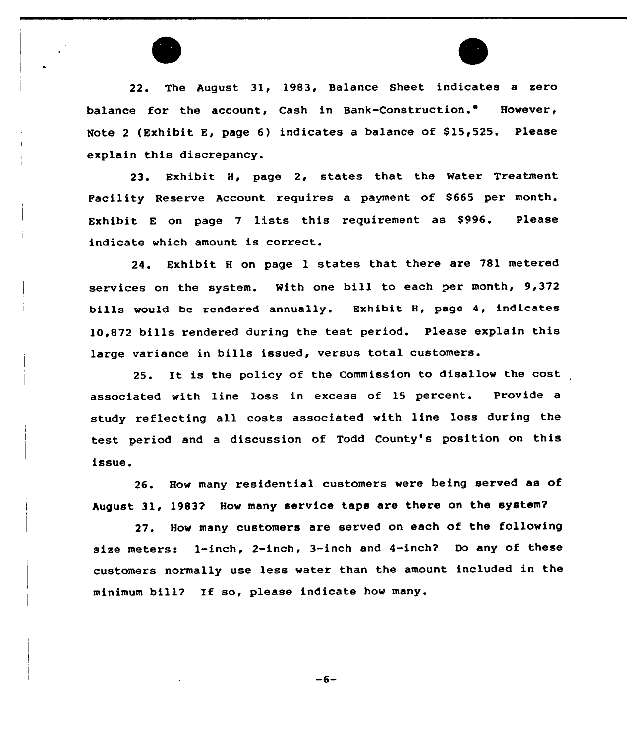22. The August 31, 1983, Balance Sheet indicates a zero balance for the account, Cash in Bank-Construction." However, Note 2 (Exhibit E, page 6) indicates a balance of \$15,525. Please explain this discrepancy.

23. Exhibit H, page 2, states that the Water Treatment Facility Reserve Account requires a payment of \$665 per month. Exhibit <sup>E</sup> on page <sup>7</sup> lists this requirement as \$996. Please indicate which amount is correct.

24. Exhibit <sup>H</sup> on page <sup>1</sup> states that there are 781 metered services on the system. With one bill to each per month, 9,372 bills would be rendered annually. Exhibit H, page 4, indicates 10,872 bills rendered during the test period. Please explain this large variance in bills issued, versus total customers.

25. It is the policy of the Commission to disallow the cost associated with line loss in excess of 15 percent. Provide a study reflecting all costs associated with line loss during the test period and <sup>a</sup> discussion of Todd County's position on this issue.

26. How many residential customers were being served as of August 31, 1983? How many service taps are there on the system?

27. How many customers are served on each of the following size meters: l-inch, 2-inch, 3-inch and 4-inch? Do any of these customers normally use less water than the amount included in the minimum bill? If so, please indicate how many.

 $-6-$